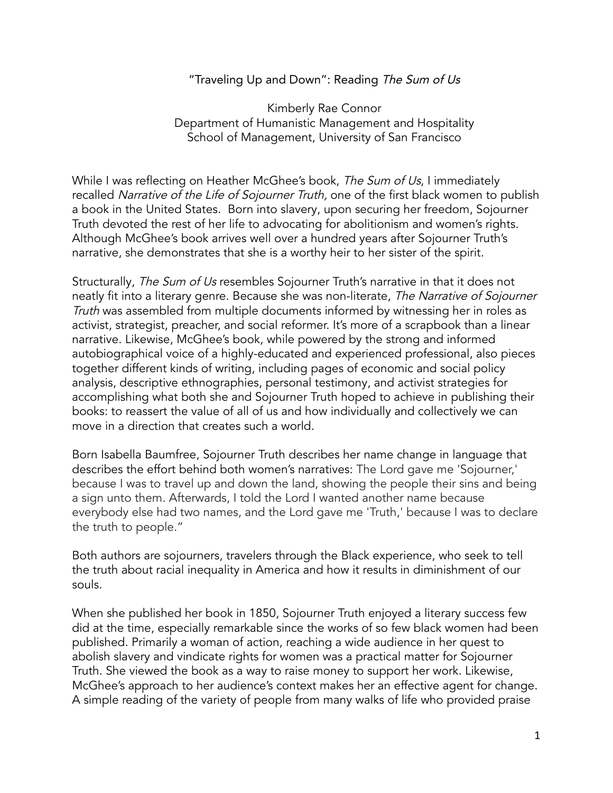## "Traveling Up and Down": Reading The Sum of Us

Kimberly Rae Connor Department of Humanistic Management and Hospitality School of Management, University of San Francisco

While I was reflecting on Heather McGhee's book, The Sum of Us, I immediately recalled Narrative of the Life of Sojourner Truth, one of the first black women to publish a book in the United States. Born into slavery, upon securing her freedom, Sojourner Truth devoted the rest of her life to advocating for abolitionism and women's rights. Although McGhee's book arrives well over a hundred years after Sojourner Truth's narrative, she demonstrates that she is a worthy heir to her sister of the spirit.

Structurally, The Sum of Us resembles Sojourner Truth's narrative in that it does not neatly fit into a literary genre. Because she was non-literate, The Narrative of Sojourner Truth was assembled from multiple documents informed by witnessing her in roles as activist, strategist, preacher, and social reformer. It's more of a scrapbook than a linear narrative. Likewise, McGhee's book, while powered by the strong and informed autobiographical voice of a highly-educated and experienced professional, also pieces together different kinds of writing, including pages of economic and social policy analysis, descriptive ethnographies, personal testimony, and activist strategies for accomplishing what both she and Sojourner Truth hoped to achieve in publishing their books: to reassert the value of all of us and how individually and collectively we can move in a direction that creates such a world.

Born Isabella Baumfree, Sojourner Truth describes her name change in language that describes the effort behind both women's narratives: The Lord gave me 'Sojourner,' because I was to travel up and down the land, showing the people their sins and being a sign unto them. Afterwards, I told the Lord I wanted another name because everybody else had two names, and the Lord gave me 'Truth,' because I was to declare the truth to people."

Both authors are sojourners, travelers through the Black experience, who seek to tell the truth about racial inequality in America and how it results in diminishment of our souls.

When she published her book in 1850, Sojourner Truth enjoyed a literary success few did at the time, especially remarkable since the works of so few black women had been published. Primarily a woman of action, reaching a wide audience in her quest to abolish slavery and vindicate rights for women was a practical matter for Sojourner Truth. She viewed the book as a way to raise money to support her work. Likewise, McGhee's approach to her audience's context makes her an effective agent for change. A simple reading of the variety of people from many walks of life who provided praise